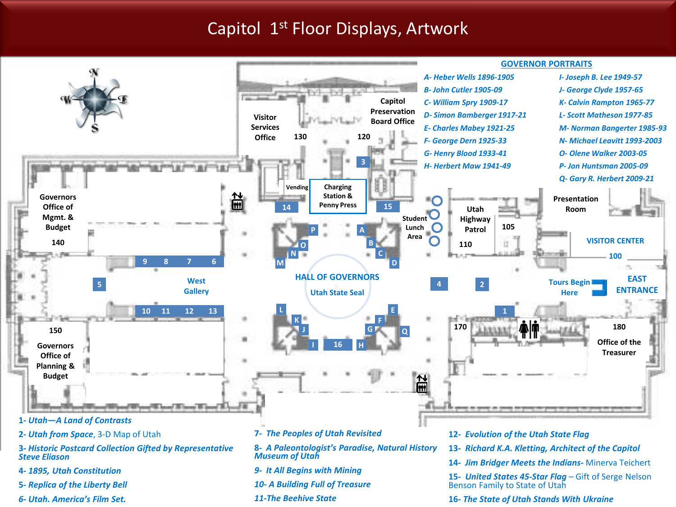#### Capitol 1st Floor Displays, Artwork



*6- Utah. America's Film Set.* 

**16-** *The State of Utah Stands With Ukraine*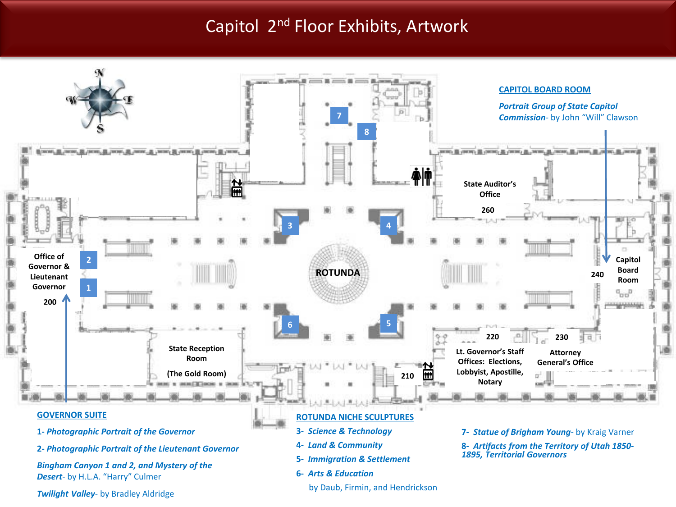### Capitol 2nd Floor Exhibits, Artwork

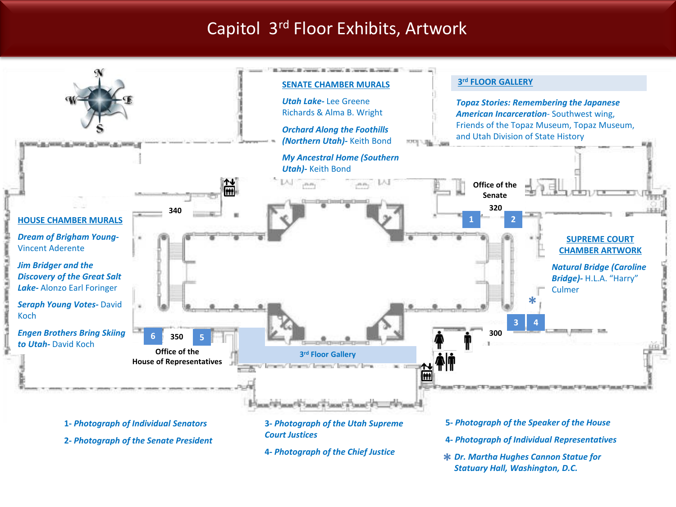## Capitol 3rd Floor Exhibits, Artwork



*Statuary Hall, Washington, D.C.*